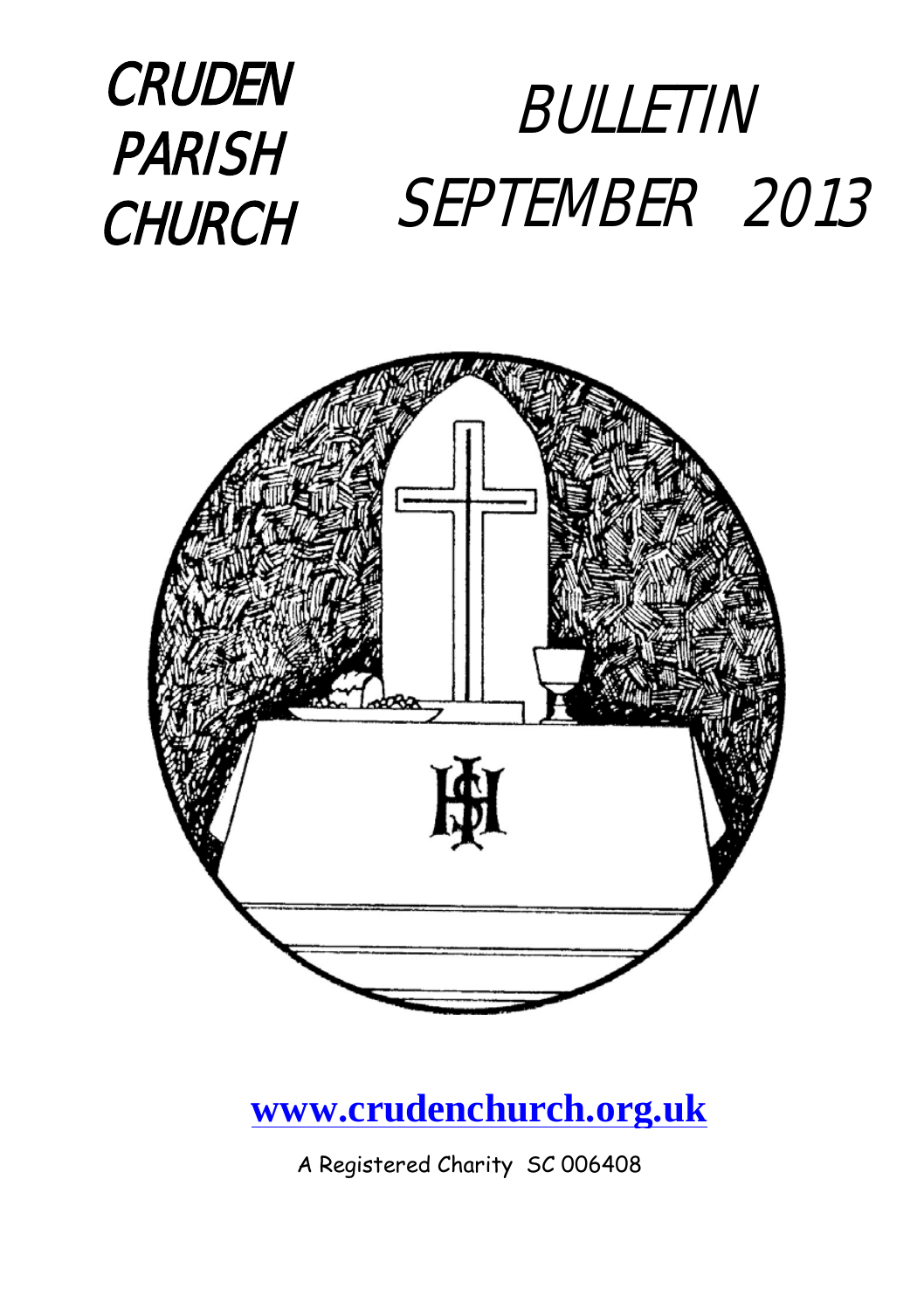



#### **[www.crudenchurch.org.uk](http://www.crudenchurch.org.uk/)**

A Registered Charity SC 006408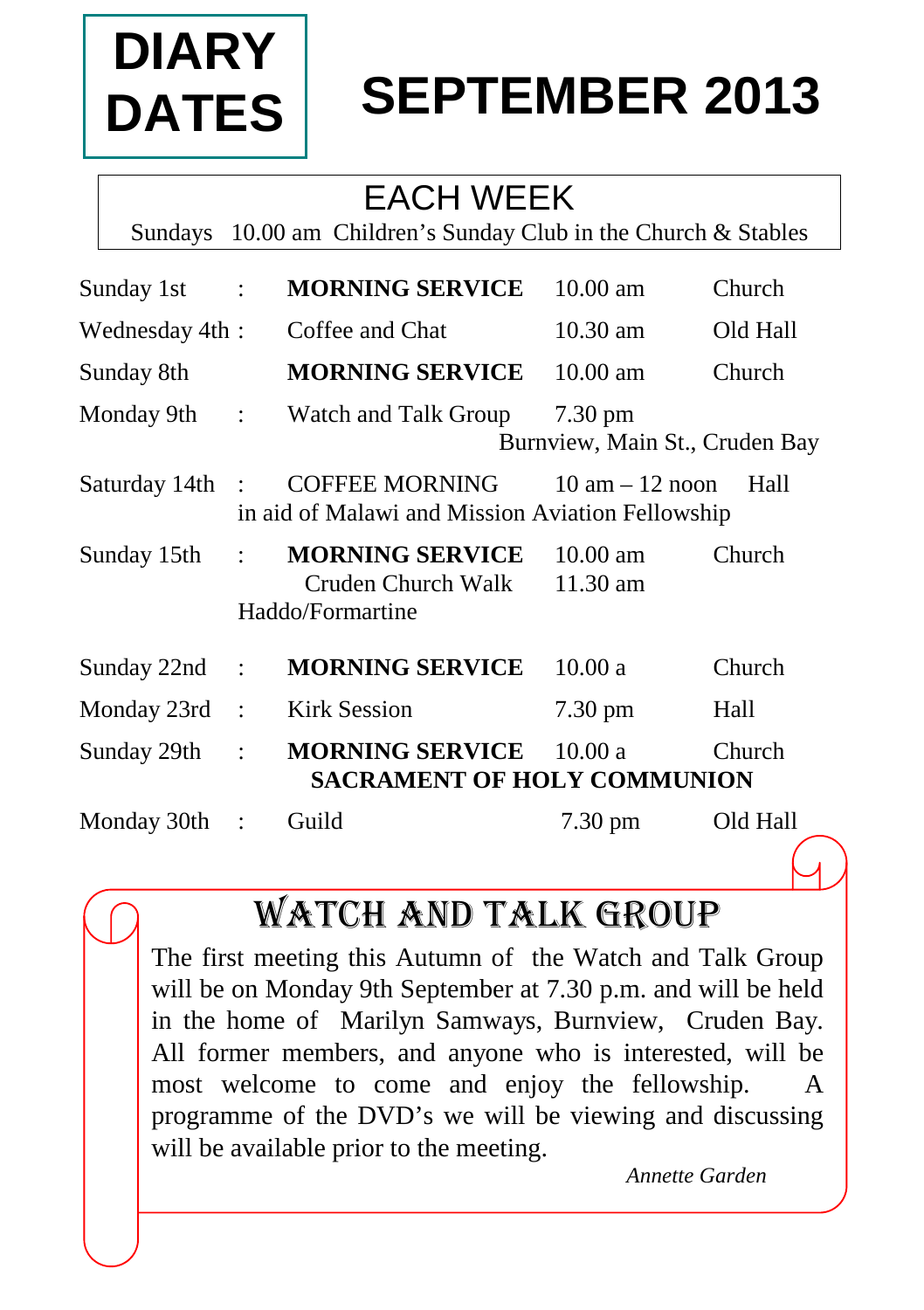

# **SEPTEMBER 2013**

### EACH WEEK

Sundays 10.00 am Children's Sunday Club in the Church & Stables

| Sunday 1st      | $\div$           | <b>MORNING SERVICE</b>                                                    | $10.00$ am                                          | Church   |
|-----------------|------------------|---------------------------------------------------------------------------|-----------------------------------------------------|----------|
| Wednesday 4th:  |                  | Coffee and Chat                                                           | $10.30$ am                                          | Old Hall |
| Sunday 8th      |                  | <b>MORNING SERVICE</b>                                                    | $10.00$ am                                          | Church   |
| Monday 9th :    |                  | Watch and Talk Group                                                      | $7.30 \text{ pm}$<br>Burnview, Main St., Cruden Bay |          |
| Saturday 14th : |                  | <b>COFFEE MORNING</b><br>in aid of Malawi and Mission Aviation Fellowship | $10 \text{ am} - 12 \text{ noon}$                   | Hall     |
| Sunday 15th     | $\ddot{\cdot}$   | <b>MORNING SERVICE</b><br>Cruden Church Walk<br>Haddo/Formartine          | $10.00 \text{ am}$<br>11.30 am                      | Church   |
| Sunday 22nd     | ÷                | <b>MORNING SERVICE</b>                                                    | 10.00a                                              | Church   |
| Monday 23rd     | $\overline{a}$ : | <b>Kirk Session</b>                                                       | $7.30 \text{ pm}$                                   | Hall     |
| Sunday 29th     | $\ddot{\cdot}$   | <b>MORNING SERVICE</b><br><b>SACRAMENT OF HOLY COMMUNION</b>              | 10.00a                                              | Church   |
| Monday 30th     |                  | Guild                                                                     | 7.30 pm                                             | Old Hall |

## WATCH AND TALK group

The first meeting this Autumn of the Watch and Talk Group will be on Monday 9th September at 7.30 p.m. and will be held in the home of Marilyn Samways, Burnview, Cruden Bay. All former members, and anyone who is interested, will be most welcome to come and enjoy the fellowship. A programme of the DVD's we will be viewing and discussing will be available prior to the meeting.

*Annette Garden*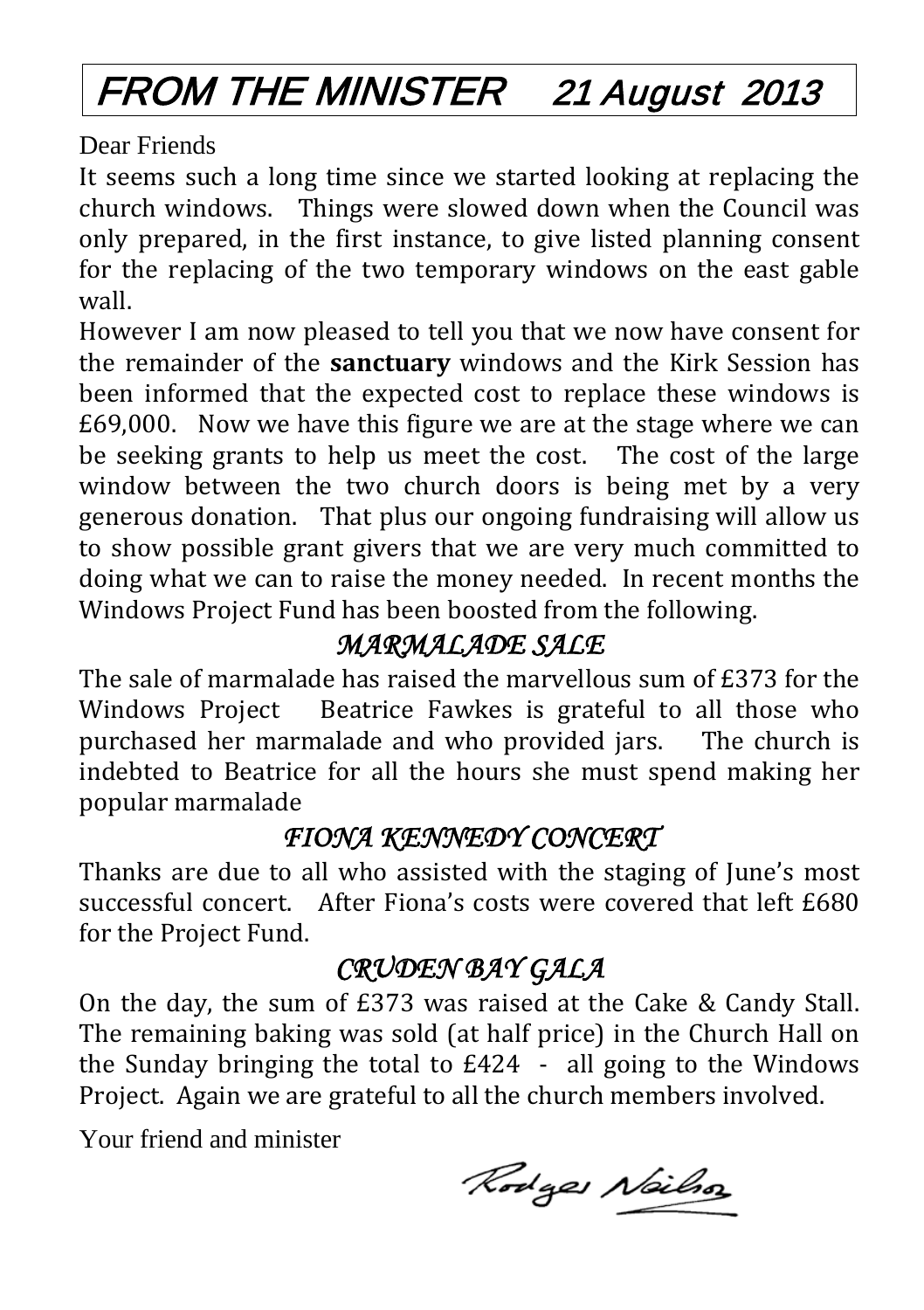## FROM THE MINISTER 21 August 2013

Dear Friends

It seems such a long time since we started looking at replacing the church windows. Things were slowed down when the Council was only prepared, in the first instance, to give listed planning consent for the replacing of the two temporary windows on the east gable wall.

However I am now pleased to tell you that we now have consent for the remainder of the **sanctuary** windows and the Kirk Session has been informed that the expected cost to replace these windows is £69,000. Now we have this figure we are at the stage where we can be seeking grants to help us meet the cost. The cost of the large window between the two church doors is being met by a very generous donation. That plus our ongoing fundraising will allow us to show possible grant givers that we are very much committed to doing what we can to raise the money needed. In recent months the Windows Project Fund has been boosted from the following.

#### *MARMALADE SALE*

The sale of marmalade has raised the marvellous sum of £373 for the Windows Project Beatrice Fawkes is grateful to all those who purchased her marmalade and who provided jars. The church is purchased her marmalade and who provided jars. indebted to Beatrice for all the hours she must spend making her popular marmalade

#### *FIONA KENNEDY CONCERT*

Thanks are due to all who assisted with the staging of June's most successful concert. After Fiona's costs were covered that left £680 for the Project Fund.

#### *CRUDEN BAY GALA*

On the day, the sum of £373 was raised at the Cake & Candy Stall. The remaining baking was sold (at half price) in the Church Hall on the Sunday bringing the total to £424 - all going to the Windows Project. Again we are grateful to all the church members involved.

Your friend and minister

Rodges Neilso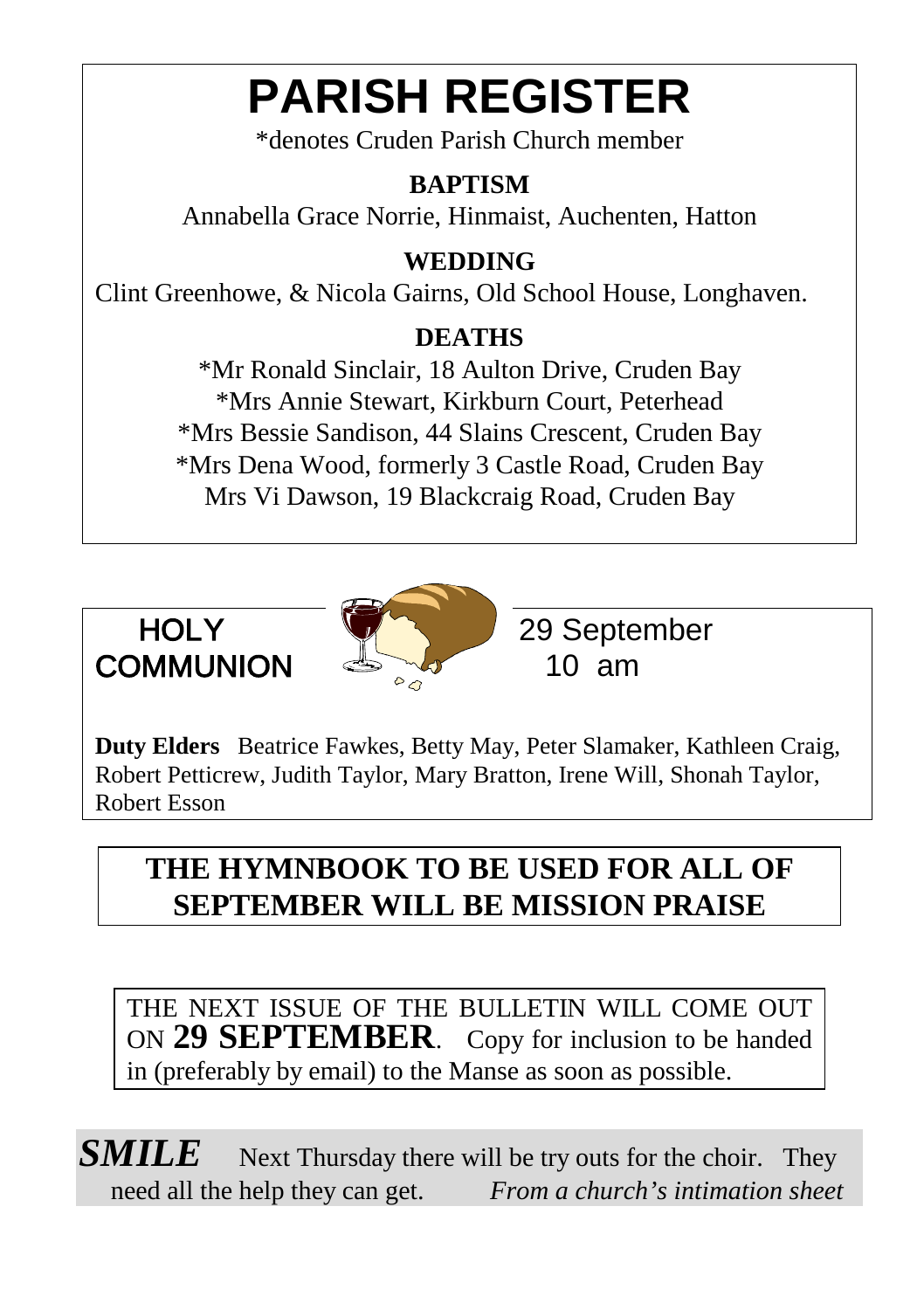# **PARISH REGISTER**

\*denotes Cruden Parish Church member

#### **BAPTISM**

Annabella Grace Norrie, Hinmaist, Auchenten, Hatton

#### **WEDDING**

Clint Greenhowe, & Nicola Gairns, Old School House, Longhaven.

#### **DEATHS**

\*Mr Ronald Sinclair, 18 Aulton Drive, Cruden Bay \*Mrs Annie Stewart, Kirkburn Court, Peterhead \*Mrs Bessie Sandison, 44 Slains Crescent, Cruden Bay \*Mrs Dena Wood, formerly 3 Castle Road, Cruden Bay Mrs Vi Dawson, 19 Blackcraig Road, Cruden Bay





HOLY 29 September

**Duty Elders** Beatrice Fawkes, Betty May, Peter Slamaker, Kathleen Craig, Robert Petticrew, Judith Taylor, Mary Bratton, Irene Will, Shonah Taylor, Robert Esson

#### **THE HYMNBOOK TO BE USED FOR ALL OF SEPTEMBER WILL BE MISSION PRAISE**

THE NEXT ISSUE OF THE BULLETIN WILL COME OUT ON **29 SEPTEMBER**. Copy for inclusion to be handed in (preferably by email) to the Manse as soon as possible.

**SMILE** Next Thursday there will be try outs for the choir. They need all the help they can get. *From a church's intimation sheet*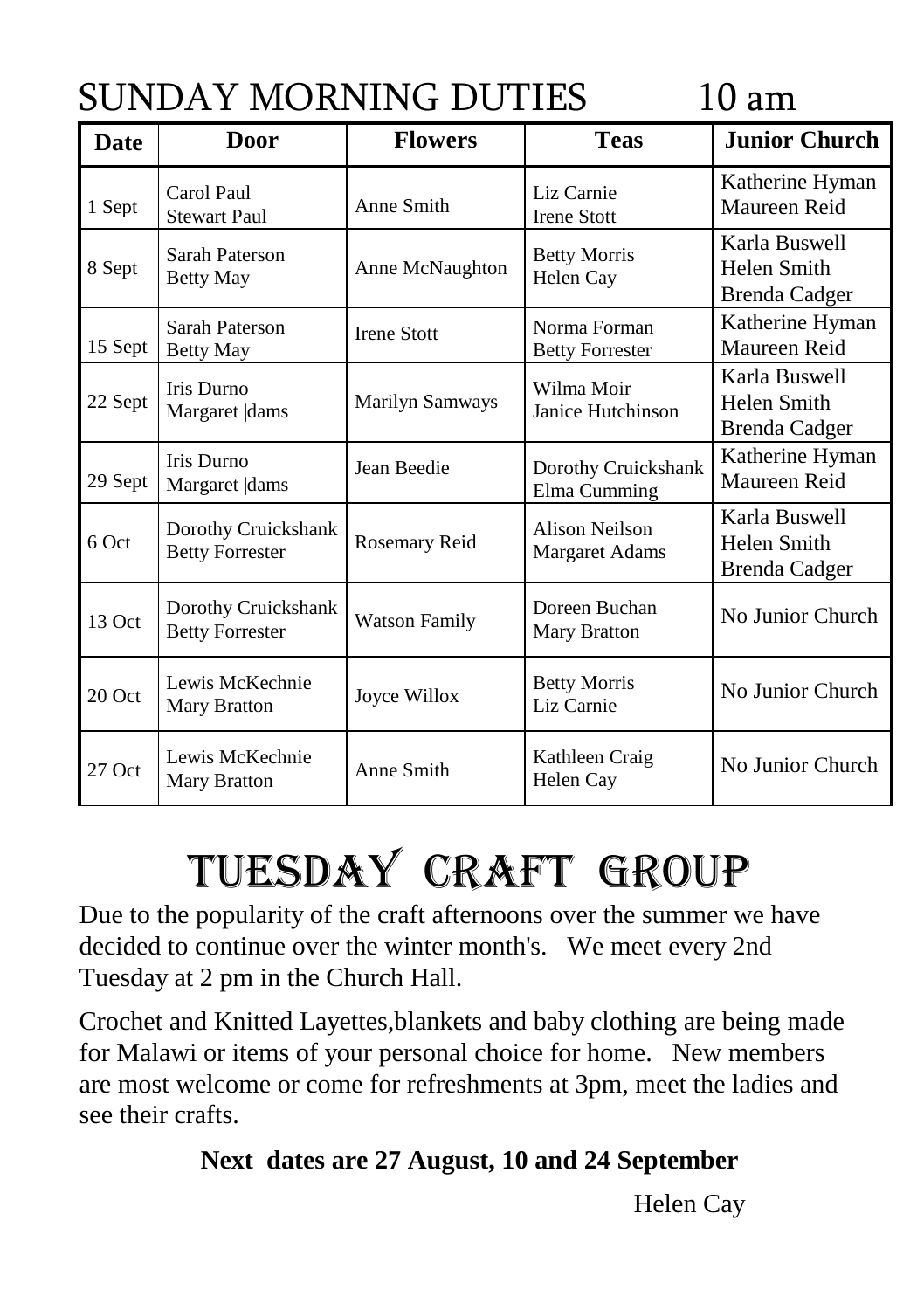## SUNDAY MORNING DUTIES 10 am

| <b>Date</b> | <b>Door</b>                                   | <b>Flowers</b>       | <b>Teas</b>                             | <b>Junior Church</b>                                 |
|-------------|-----------------------------------------------|----------------------|-----------------------------------------|------------------------------------------------------|
| 1 Sept      | Carol Paul<br><b>Stewart Paul</b>             | Anne Smith           | Liz Carnie<br><b>Irene Stott</b>        | Katherine Hyman<br>Maureen Reid                      |
| 8 Sept      | Sarah Paterson<br><b>Betty May</b>            | Anne McNaughton      | <b>Betty Morris</b><br>Helen Cay        | Karla Buswell<br><b>Helen Smith</b><br>Brenda Cadger |
| 15 Sept     | Sarah Paterson<br>Betty May                   | <b>Irene Stott</b>   | Norma Forman<br><b>Betty Forrester</b>  | Katherine Hyman<br>Maureen Reid                      |
| 22 Sept     | <b>Iris Durno</b><br>Margaret  dams           | Marilyn Samways      | Wilma Moir<br>Janice Hutchinson         | Karla Buswell<br>Helen Smith<br>Brenda Cadger        |
| 29 Sept     | <b>Iris Durno</b><br>Margaret  dams           | Jean Beedie          | Dorothy Cruickshank<br>Elma Cumming     | Katherine Hyman<br>Maureen Reid                      |
| 6 Oct       | Dorothy Cruickshank<br><b>Betty Forrester</b> | Rosemary Reid        | Alison Neilson<br><b>Margaret Adams</b> | Karla Buswell<br>Helen Smith<br><b>Brenda Cadger</b> |
| 13 Oct      | Dorothy Cruickshank<br><b>Betty Forrester</b> | <b>Watson Family</b> | Doreen Buchan<br>Mary Bratton           | No Junior Church                                     |
| 20 Oct      | Lewis McKechnie<br>Mary Bratton               | Joyce Willox         | <b>Betty Morris</b><br>Liz Carnie       | No Junior Church                                     |
| 27 Oct      | Lewis McKechnie<br>Mary Bratton               | Anne Smith           | Kathleen Craig<br>Helen Cay             | No Junior Church                                     |

# TUESDAY Craft Group

Due to the popularity of the craft afternoons over the summer we have decided to continue over the winter month's. We meet every 2nd Tuesday at 2 pm in the Church Hall.

Crochet and Knitted Layettes,blankets and baby clothing are being made for Malawi or items of your personal choice for home. New members are most welcome or come for refreshments at 3pm, meet the ladies and see their crafts.

#### **Next dates are 27 August, 10 and 24 September**

Helen Cay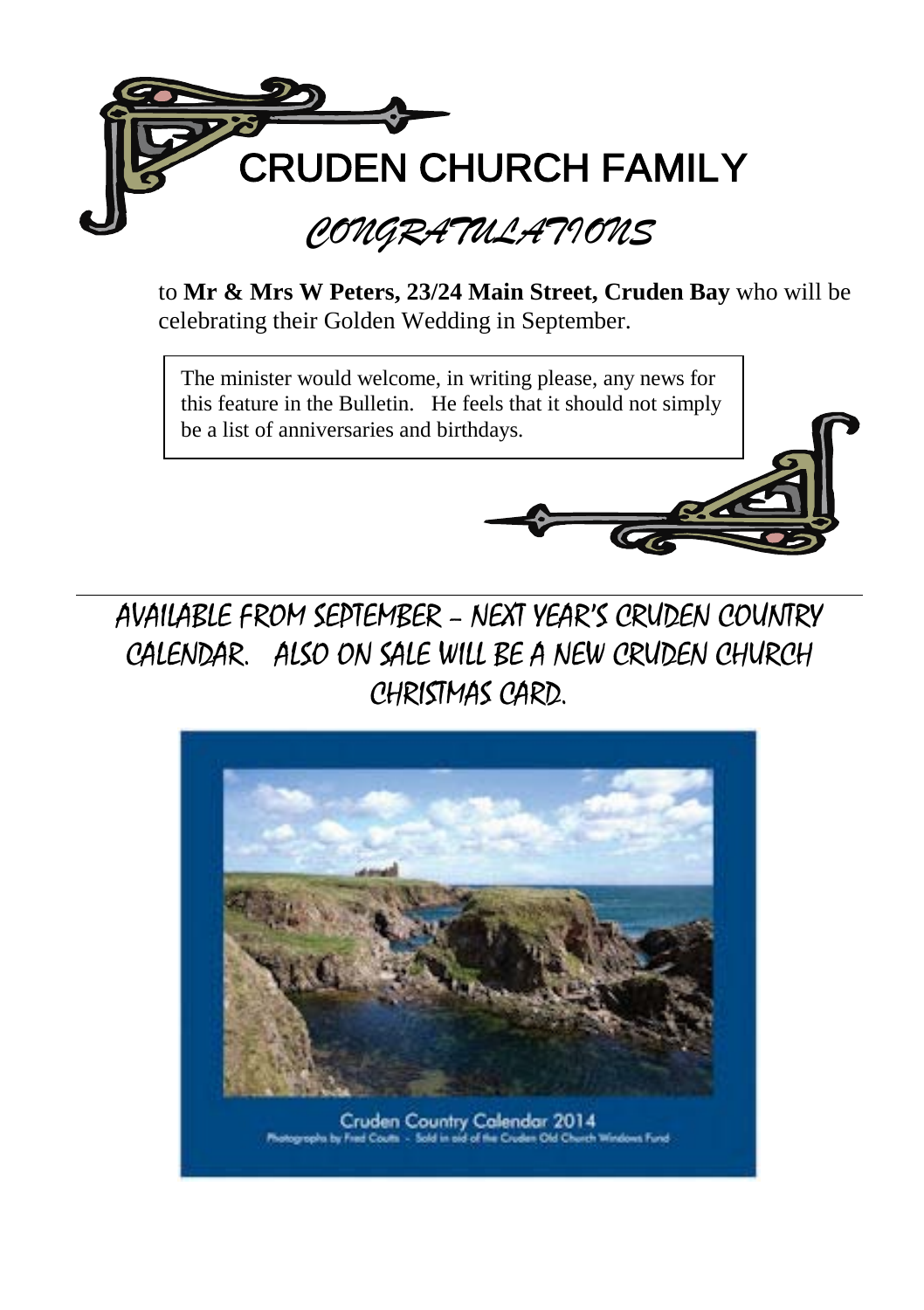

to **Mr & Mrs W Peters, 23/24 Main Street, Cruden Bay** who will be celebrating their Golden Wedding in September.

The minister would welcome, in writing please, any news for this feature in the Bulletin. He feels that it should not simply be a list of anniversaries and birthdays.





Cruden Country Calendar 2014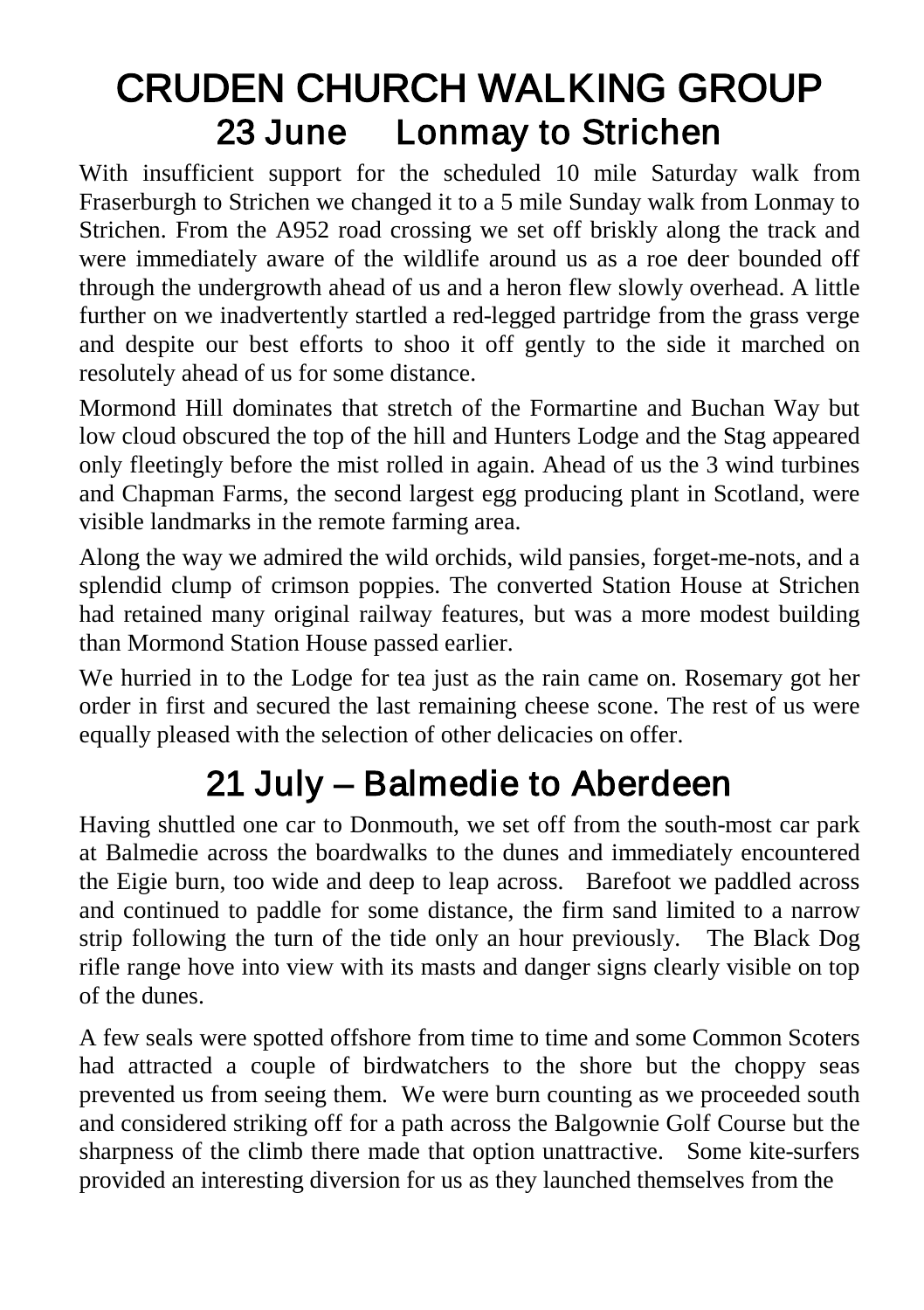## CRUDEN CHURCH WALKING GROUP 23 June Lonmay to Strichen

With insufficient support for the scheduled 10 mile Saturday walk from Fraserburgh to Strichen we changed it to a 5 mile Sunday walk from Lonmay to Strichen. From the A952 road crossing we set off briskly along the track and were immediately aware of the wildlife around us as a roe deer bounded off through the undergrowth ahead of us and a heron flew slowly overhead. A little further on we inadvertently startled a red-legged partridge from the grass verge and despite our best efforts to shoo it off gently to the side it marched on resolutely ahead of us for some distance.

Mormond Hill dominates that stretch of the Formartine and Buchan Way but low cloud obscured the top of the hill and Hunters Lodge and the Stag appeared only fleetingly before the mist rolled in again. Ahead of us the 3 wind turbines and Chapman Farms, the second largest egg producing plant in Scotland, were visible landmarks in the remote farming area.

Along the way we admired the wild orchids, wild pansies, forget-me-nots, and a splendid clump of crimson poppies. The converted Station House at Strichen had retained many original railway features, but was a more modest building than Mormond Station House passed earlier.

We hurried in to the Lodge for tea just as the rain came on. Rosemary got her order in first and secured the last remaining cheese scone. The rest of us were equally pleased with the selection of other delicacies on offer.

## 21 July – Balmedie to Aberdeen

Having shuttled one car to Donmouth, we set off from the south-most car park at Balmedie across the boardwalks to the dunes and immediately encountered the Eigie burn, too wide and deep to leap across. Barefoot we paddled across and continued to paddle for some distance, the firm sand limited to a narrow strip following the turn of the tide only an hour previously. The Black Dog rifle range hove into view with its masts and danger signs clearly visible on top of the dunes.

A few seals were spotted offshore from time to time and some Common Scoters had attracted a couple of birdwatchers to the shore but the choppy seas prevented us from seeing them. We were burn counting as we proceeded south and considered striking off for a path across the Balgownie Golf Course but the sharpness of the climb there made that option unattractive. Some kite-surfers provided an interesting diversion for us as they launched themselves from the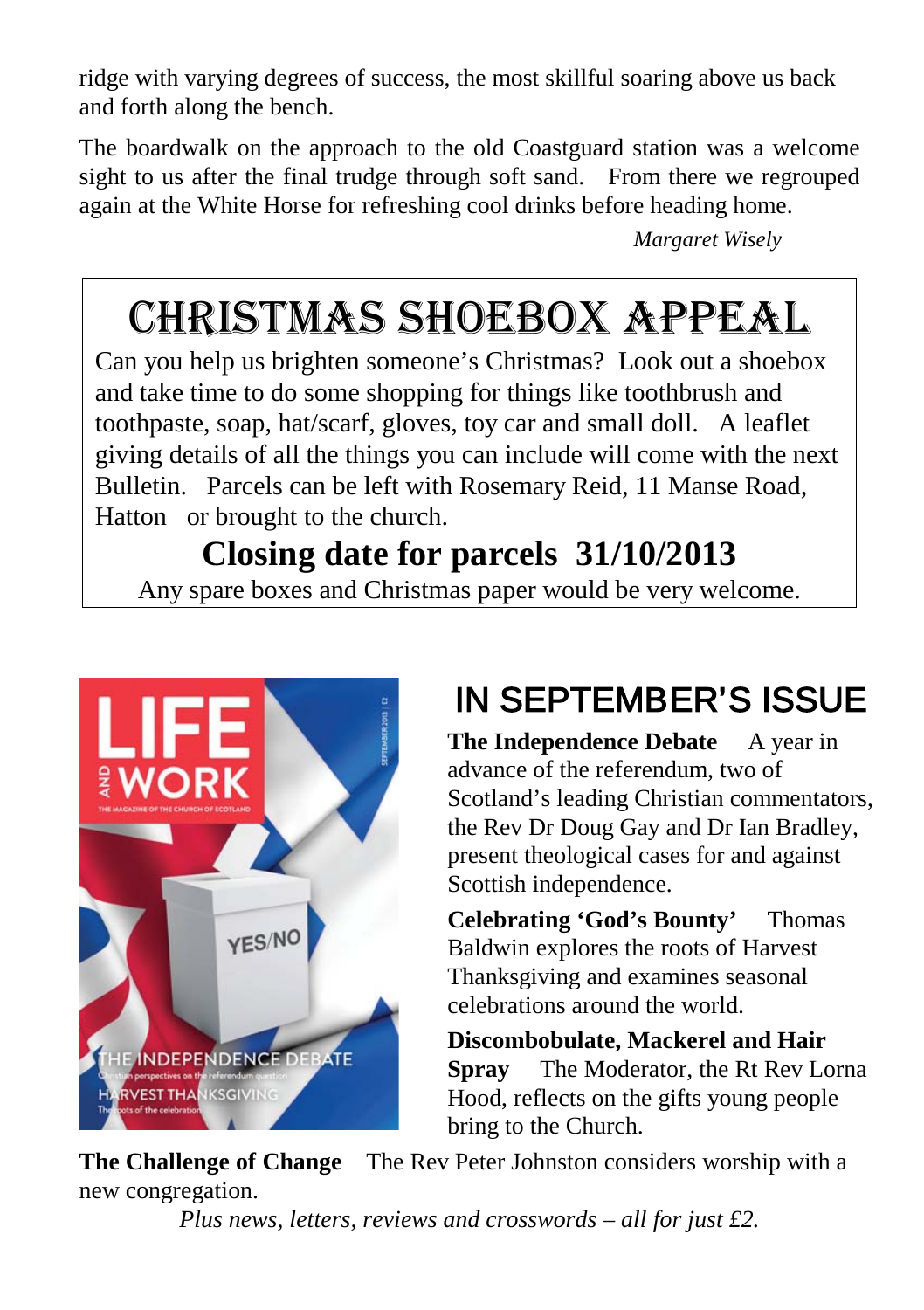ridge with varying degrees of success, the most skillful soaring above us back and forth along the bench.

The boardwalk on the approach to the old Coastguard station was a welcome sight to us after the final trudge through soft sand. From there we regrouped again at the White Horse for refreshing cool drinks before heading home.

*Margaret Wisely*

## CHRISTMAS SHOEBOX APPEAL

Can you help us brighten someone's Christmas? Look out a shoebox and take time to do some shopping for things like toothbrush and toothpaste, soap, hat/scarf, gloves, toy car and small doll. A leaflet giving details of all the things you can include will come with the next Bulletin. Parcels can be left with Rosemary Reid, 11 Manse Road, Hatton or brought to the church.

## **Closing date for parcels 31/10/2013**

Any spare boxes and Christmas paper would be very welcome.



## IN SEPTEMBER'S ISSUE

**The Independence Debate** A year in advance of the referendum, two of Scotland's leading Christian commentators, the Rev Dr Doug Gay and Dr Ian Bradley, present theological cases for and against Scottish independence.

**Celebrating 'God's Bounty'** Thomas Baldwin explores the roots of Harvest Thanksgiving and examines seasonal celebrations around the world.

**Discombobulate, Mackerel and Hair Spray** The Moderator, the Rt Rev Lorna Hood, reflects on the gifts young people bring to the Church.

**The Challenge of Change** The Rev Peter Johnston considers worship with a new congregation.

*Plus news, letters, reviews and crosswords – all for just £2.*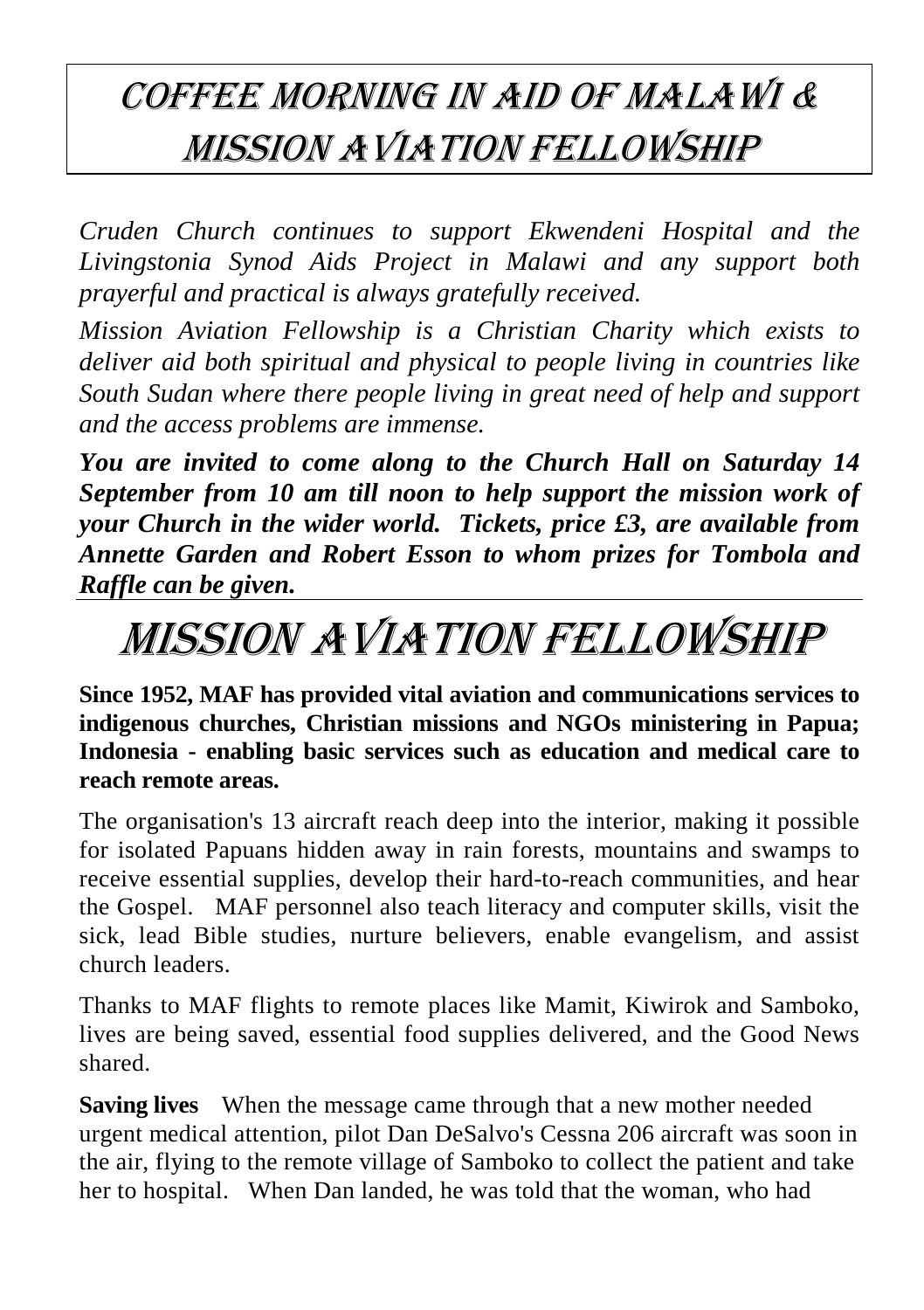## Coffee morning in aid of Malawi & Mission Aviation Fellowship

*Cruden Church continues to support Ekwendeni Hospital and the Livingstonia Synod Aids Project in Malawi and any support both prayerful and practical is always gratefully received.*

*Mission Aviation Fellowship is a Christian Charity which exists to deliver aid both spiritual and physical to people living in countries like South Sudan where there people living in great need of help and support and the access problems are immense.*

*You are invited to come along to the Church Hall on Saturday 14 September from 10 am till noon to help support the mission work of your Church in the wider world. Tickets, price £3, are available from Annette Garden and Robert Esson to whom prizes for Tombola and Raffle can be given.*

# MISSION AVIATION FELLOWSHIP

**Since 1952, MAF has provided vital aviation and communications services to indigenous churches, Christian missions and NGOs ministering in Papua; Indonesia - enabling basic services such as education and medical care to reach remote areas.**

The organisation's 13 aircraft reach deep into the interior, making it possible for isolated Papuans hidden away in rain forests, mountains and swamps to receive essential supplies, develop their hard-to-reach communities, and hear the Gospel. MAF personnel also teach literacy and computer skills, visit the sick, lead Bible studies, nurture believers, enable evangelism, and assist church leaders.

Thanks to MAF flights to remote places like Mamit, Kiwirok and Samboko, lives are being saved, essential food supplies delivered, and the Good News shared.

**Saving lives** When the message came through that a new mother needed urgent medical attention, pilot Dan DeSalvo's Cessna 206 aircraft was soon in the air, flying to the remote village of Samboko to collect the patient and take her to hospital. When Dan landed, he was told that the woman, who had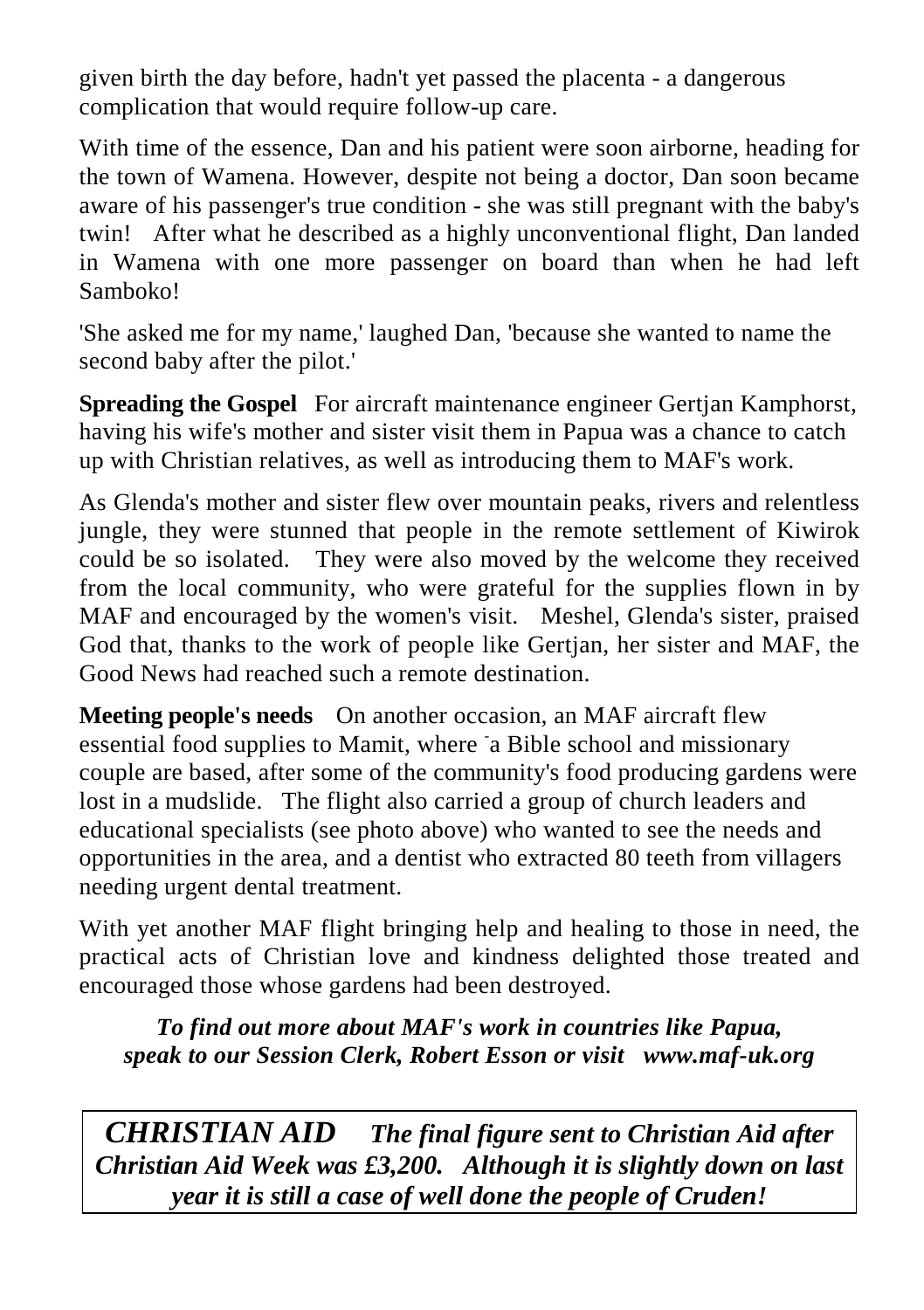given birth the day before, hadn't yet passed the placenta - a dangerous complication that would require follow-up care.

With time of the essence, Dan and his patient were soon airborne, heading for the town of Wamena. However, despite not being a doctor, Dan soon became aware of his passenger's true condition - she was still pregnant with the baby's twin! After what he described as a highly unconventional flight, Dan landed in Wamena with one more passenger on board than when he had left Samboko!

'She asked me for my name,' laughed Dan, 'because she wanted to name the second baby after the pilot.'

**Spreading the Gospel** For aircraft maintenance engineer Gertian Kamphorst, having his wife's mother and sister visit them in Papua was a chance to catch up with Christian relatives, as well as introducing them to MAF's work.

As Glenda's mother and sister flew over mountain peaks, rivers and relentless jungle, they were stunned that people in the remote settlement of Kiwirok could be so isolated. They were also moved by the welcome they received from the local community, who were grateful for the supplies flown in by MAF and encouraged by the women's visit. Meshel, Glenda's sister, praised God that, thanks to the work of people like Gertjan, her sister and MAF, the Good News had reached such a remote destination.

**Meeting people's needs** On another occasion, an MAF aircraft flew essential food supplies to Mamit, where a Bible school and missionary couple are based, after some of the community's food producing gardens were lost in a mudslide. The flight also carried a group of church leaders and educational specialists (see photo above) who wanted to see the needs and opportunities in the area, and a dentist who extracted 80 teeth from villagers needing urgent dental treatment.

With yet another MAF flight bringing help and healing to those in need, the practical acts of Christian love and kindness delighted those treated and encouraged those whose gardens had been destroyed.

*To find out more about MAF's work in countries like Papua, speak to our Session Clerk, Robert Esson or visit [www.maf-uk.org](http://www.maf-uk.org/)*

*CHRISTIAN AID The final figure sent to Christian Aid after Christian Aid Week was £3,200. Although it is slightly down on last year it is still a case of well done the people of Cruden!*